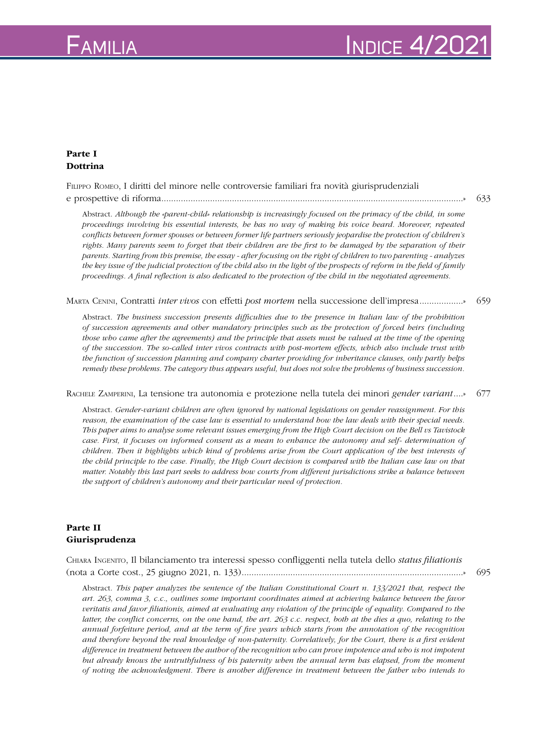## $F_{\sf AMILIA}$   $\blacksquare$

## Parte I Dottrina

Filippo Romeo, I diritti del minore nelle controversie familiari fra novità giurisprudenziali e prospettive di riforma............................................................................................................................» 633

Abstract. *Although the «parent-child» relationship is increasingly focused on the primacy of the child, in some proceedings involving his essential interests, he has no way of making his voice heard. Moreover, repeated conflicts between former spouses or between former life partners seriously jeopardise the protection of children's rights. Many parents seem to forget that their children are the first to be damaged by the separation of their parents. Starting from this premise, the essay - after focusing on the right of children to two parenting - analyzes the key issue of the judicial protection of the child also in the light of the prospects of reform in the field of family proceedings. A final reflection is also dedicated to the protection of the child in the negotiated agreements.* 

Marta Cenini, Contratti *inter vivos* con effetti *post mortem* nella successione dell'impresa..................» 659

Abstract. *The business succession presents difficulties due to the presence in Italian law of the prohibition of succession agreements and other mandatory principles such as the protection of forced heirs (including those who came after the agreements) and the principle that assets must be valued at the time of the opening of the succession. The so-called inter vivos contracts with post-mortem effects, which also include trust with the function of succession planning and company charter providing for inheritance clauses, only partly helps remedy these problems. The category thus appears useful, but does not solve the problems of business succession.* 

Rachele Zamperini, La tensione tra autonomia e protezione nella tutela dei minori *gender variant*....» 677

Abstract. *Gender-variant children are often ignored by national legislations on gender reassignment. For this reason, the examination of the case law is essential to understand how the law deals with their special needs. This paper aims to analyse some relevant issues emerging from the High Court decision on the Bell vs Tavistock case. First, it focuses on informed consent as a mean to enhance the autonomy and self- determination of children. Then it highlights which kind of problems arise from the Court application of the best interests of the child principle to the case. Finally, the High Court decision is compared with the Italian case law on that matter. Notably this last part seeks to address how courts from different jurisdictions strike a balance between the support of children's autonomy and their particular need of protection.*

## Parte II Giurisprudenza

Chiara Ingenito, Il bilanciamento tra interessi spesso confliggenti nella tutela dello *status filiationis* (nota a Corte cost., 25 giugno 2021, n. 133)...........................................................................................» 695

Abstract. *This paper analyzes the sentence of the Italian Constitutional Court n. 133/2021 that, respect the art. 263, comma 3, c.c., outlines some important coordinates aimed at achieving balance between the favor veritatis and favor filiationis, aimed at evaluating any violation of the principle of equality. Compared to the latter, the conflict concerns, on the one hand, the art. 263 c.c. respect, both at the dies a quo, relating to the annual forfeiture period, and at the term of five years which starts from the annotation of the recognition and therefore beyond the real knowledge of non-paternity. Correlatively, for the Court, there is a first evident difference in treatment between the author of the recognition who can prove impotence and who is not impotent but already knows the untruthfulness of his paternity when the annual term has elapsed, from the moment of noting the acknowledgment. There is another difference in treatment between the father who intends to*